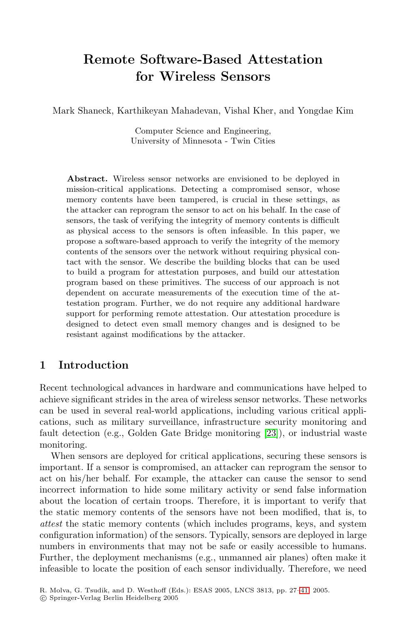# **Remote Software-Based Attestation for Wireless Sensors**

Mark Shaneck, Karthikeyan Mahadevan, Vishal Kher, and Yongdae Kim

Computer Science and Engineering, University of Minnesota - Twin Cities

**Abstract.** Wireless sensor networks are envisioned to be deployed in mission-critical applications. Detecting a compromised sensor, whose memory contents have been tampered, is crucial in these settings, as the attacker can reprogram the sensor to act on his behalf. In the case of sensors, the task of verifying the integrity of memory contents is difficult as physical access to the sensors is often infeasible. In this paper, we propose a software-based approach to verify the integrity of the memory contents of the sensors over the network without requiring physical contact with the sensor. We describe the building blocks that can be used to build a program for attestation purposes, and build our attestation program based on these primitives. The success of our approach is not dependent on accurate measurements of the execution time of the attestation program. Further, we do not require any additional hardware support for performing remote attestation. Our attestation procedure is designed to detect even small memory changes and is designed to be resistant against modifications by the attacker.

# <span id="page-0-0"></span>**1 Introduction**

Recent technological advances in hardware and communications have helped to achieve significant strides in the area of wireless sensor networks. These networks can be used in several real-world applications, including various critical applications, such as military surveillance, infrastructure security monitoring and fault detection (e.g., Golden Gate Bridge monitoring [23]), or industrial waste monitoring.

When sensors are deployed for critical applications, securing these sensors is important. If a sensor is compromised, an attacker can reprogram the sensor to act on his/her behalf. For example, the attacker can cause the sensor to send incorrect information to hide some military activity or send false information about the location of certain troops. Therefore, it is important to verify that the static memory contents of the sensors [hav](#page-12-0)e not been modified, that is, to attest the static memory contents (which includes programs, keys, and system configuration information) of the sensors. Typically, sensors are deployed in large numbers in environments that may not be safe or easily accessible to humans. Further, the deployment mechanisms (e.g., unmanned air planes) often make it infeasible to locate the position of each sensor individually. Therefore, we need

R. Molva, G. Tsudik, and D. Westhoff (Eds.): ESAS 2005, LNCS 3813, pp. 27–41, 2005.

c Springer-Verlag Berlin Heidelberg 2005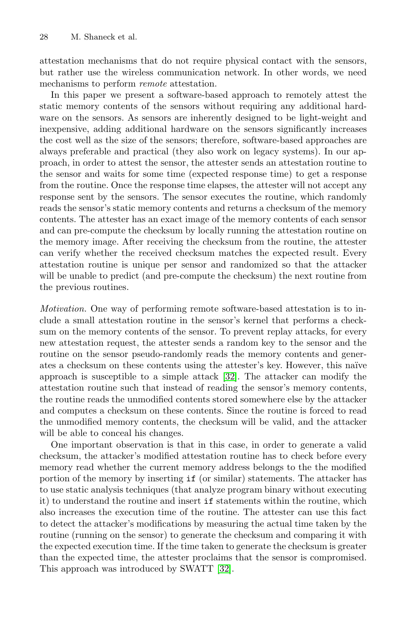attestation mechanisms that do not require physical contact with the sensors, but rather use the wireless communication network. In other words, we need mechanisms to perform remote attestation.

In this paper we present a software-based approach to remotely attest the static memory contents of the sensors without requiring any additional hardware on the sensors. As sensors are inherently designed to be light-weight and inexpensive, adding additional hardware on the sensors significantly increases the cost well as the size of the sensors; therefore, software-based approaches are always preferable and practical (they also work on legacy systems). In our approach, in order to attest the sensor, the attester sends an attestation routine to the sensor and waits for some time (expected response time) to get a response from the routine. Once the response time elapses, the attester will not accept any response sent by the sensors. The sensor executes the routine, which randomly reads the sensor's static memory contents and returns a checksum of the memory contents. The attester has an exact image of the memory contents of each sensor and can pre-compute the checksum by locally running the attestation routine on the memory image. After receiving the checksum from the routine, the attester can verify whether the received checksum matches the expected result. Every attestation routine is unique per sensor and randomized so that the attacker will be unable to predict (and pre-compute the checksum) the next routine from the previous routines.

Motivation. One way of performing remote software-based attestation is to include a small attestation routine in the sensor's kernel that performs a checksum on the memory contents of the sensor. To prevent replay attacks, for every new attestation request, the attester sends a random key to the sensor and the routine on the sensor pseudo-randomly reads the memory contents and generates a checksum on these contents using the attester's key. However, this naïve approach is susceptible to a simple attack [32]. The attacker can modify the attestation routine such that instead of reading the sensor's memory contents, the routine reads the unmodified contents stored somewhere else by the attacker and computes a checksum on these contents. Since the routine is forced to read the unmodified memory contents, the checksum will be valid, and the attacker will be able to conceal his changes.

One important observation is that in this case, in order to generate a valid checksum, the attacker's modified attestation routine has to check before every memory read whether the current memory address belongs to the the modified portion of the memory by inserting if (or similar) statements. The attacker has to use static analysis tec[hniq](#page-14-0)ues (that analyze program binary without executing it) to understand the routine and insert if statements within the routine, which also increases the execution time of the routine. The attester can use this fact to detect the attacker's modifications by measuring the actual time taken by the routine (running on the sensor) to generate the checksum and comparing it with the expected execution time. If the time taken to generate the checksum is greater than the expected time, the attester proclaims that the sensor is compromised. This approach was introduced by SWATT [32].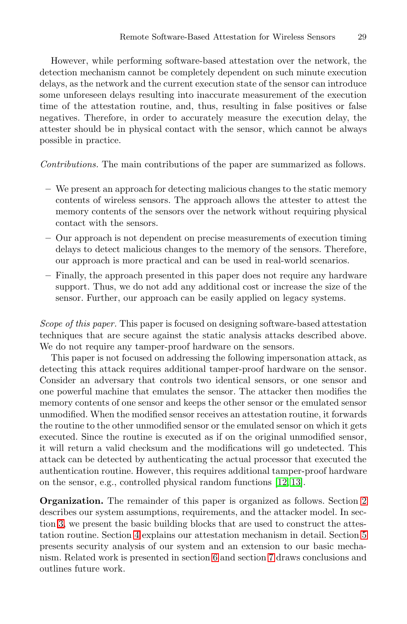However, while performing software-based attestation over the network, the detection mechanism cannot be completely dependent on such minute execution delays, as the network and the current execution state of the sensor can introduce some unforeseen delays resulting into inaccurate measurement of the execution time of the attestation routine, and, thus, resulting in false positives or false negatives. Therefore, in order to accurately measure the execution delay, the attester should be in physical contact with the sensor, which cannot be always possible in practice.

Contributions. The main contributions of the paper are summarized as follows.

- **–** We present an approach for detecting malicious changes to the static memory contents of wireless sensors. The approach allows the attester to attest the memory contents of the sensors over the network without requiring physical contact with the sensors.
- **–** Our approach is not dependent on precise measurements of execution timing delays to detect malicious changes to the memory of the sensors. Therefore, our approach is more practical and can be used in real-world scenarios.
- **–** Finally, the approach presented in this paper does not require any hardware support. Thus, we do not add any additional cost or increase the size of the sensor. Further, our approach can be easily applied on legacy systems.

Scope of this paper. This paper is focused on designing software-based attestation techniques that are secure against the static analysis attacks described above. We do not require any tamper-proof hardware on the sensors.

This paper is not focused on addressing the following impersonation attack, as detecting this attack requires additional tamper-proof hardware on the sensor. Consider an adversary that controls two identical sensors, or one sensor and one powerful machine that emulates the sensor. The attacker then modifies the memory contents of one sensor and kee[ps t](#page-12-1)[he o](#page-12-2)ther sensor or the emulated sensor unmodified. When the modified sensor receives an attestation routine, it forwards the routine to the other unmodified sensor or the emulated s[ens](#page-3-0)or on which it gets executed. Since the routine is executed as if on the original unmodified sensor, it will return a valid checksum and the modifications will go undetected. This att[ack](#page-5-0) can be detected by authenticating the actual proces[sor](#page-8-0) that executed the authentication routine. However, this requires additional tamper-proof hardware on the sensor, e.g., co[ntr](#page-10-0)olled physic[al](#page-11-0) random functions [12, 13].

**Organization.** The remainder of this paper is organized as follows. Section 2 describes our system assumptions, requirements, and the attacker model. In section 3, we present the basic building blocks that are used to construct the attestation routine. Section 4 explains our attestation mechanism in detail. Section 5 presents security analysis of our system and an extension to our basic mechanism. Related work is presented in section 6 and section 7 draws conclusions and outlines future work.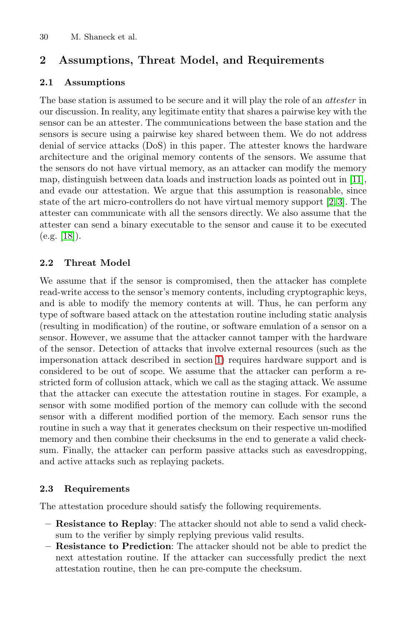# <span id="page-3-0"></span>**2 Assumptions, Threat Model, and Requirements**

#### **2.1 Assumptions**

<span id="page-3-1"></span>The base station is assumed to be secure and it will play t[he](#page-12-3) role of an attester in our discussion. In reality, any legitimate entity that shares a pairwise key with the sensor can be an attester. The communications bet[we](#page-12-4)[en](#page-12-5) the base station and the sensors is secure using a pairwise key shared between them. We do not address denial of service attacks (DoS) in this paper. The attester knows the hardware architecture and the original memory contents of the sensors. We assume that the sensors do not have virtual memory, as an attacker can modify the memory map, distinguish between data loads and instruction loads as pointed out in [11], and evade our attestation. We argue that this assumption is reasonable, since state of the art micro-controllers do not have virtual memory support [2, 3]. The attester can communicate with all the sensors directly. We also assume that the attester can send a binary executable to the sensor and cause it to be executed (e.g. [18]).

## **2.2 Threat Model**

We assume that if the [se](#page-0-0)nsor is compromised, then the attacker has complete read-write access to the sensor's memory contents, including cryptographic keys, and is able to modify the memory contents at will. Thus, he can perform any type of software based attack on the attestation routine including static analysis (resulting in modification) of the routine, or software emulation of a sensor on a sensor. However, we assume that the attacker cannot tamper with the hardware of the sensor. Detection of attacks that involve external resources (such as the impersonation attack described in section 1) requires hardware support and is considered to be out of scope. We assume that the attacker can perform a restricted form of collusion attack, which we call as the staging attack. We assume that the attacker can execute the attestation routine in stages. For example, a sensor with some modified portion of the memory can collude with the second sensor with a different modified portion of the memory. Each sensor runs the routine in such a way that it generates checksum on their respective un-modified memory and then combine their checksums in the end to generate a valid checksum. Finally, the attacker can perform passive attacks such as eavesdropping, and active attacks such as replaying packets.

#### **2.3 Requirements**

The attestation procedure should satisfy the following requirements.

- **Resistance to Replay**: The attacker should not able to send a valid checksum to the verifier by simply replying previous valid results.
- **Resistance to Prediction**: The attacker should not be able to predict the next attestation routine. If the attacker can successfully predict the next attestation routine, then he can pre-compute the checksum.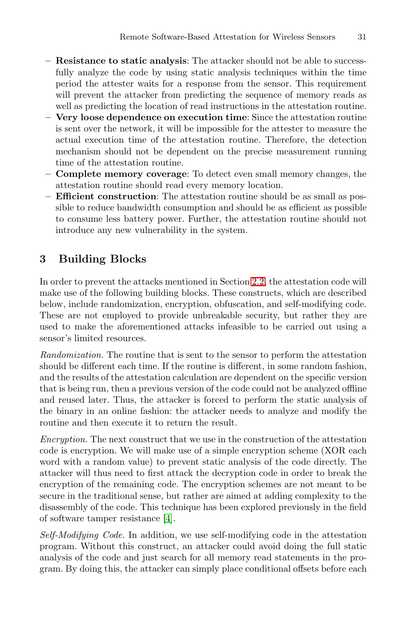- **Resistance to static analysis**: The attacker should not be able to successfully analyze the code by using static analysis techniques within the time period the attester waits for a response from the sensor. This requirement will prevent the attacker from predicting the sequence of memory reads as well as predicting the location of read instructions in the attestation routine.
- **Very loose dependence on execution time**: Since the attestation routine is sent over the network, it will be impossible for the attester to measure the actual execution time of the attestation routine. Therefore, the detection mechanism should not be dependent on the precise measurement running time of the attestation routine.
- <span id="page-4-0"></span>**– Complete memory coverage**: To detect even small memory changes, the attestation routine should read every memory location.
- **Efficient construction**: T[he at](#page-3-1)testation routine should be as small as possible to reduce bandwidth consumption and should be as efficient as possible to consume less battery power. Further, the attestation routine should not introduce any new vulnerability in the system.

# **3 Building Blocks**

In order to prevent the attacks mentioned in Section 2.2, the attestation code will make use of the following building blocks. These constructs, which are described below, include randomization, encryption, obfuscation, and self-modifying code. These are not employed to provide unbreakable security, but rather they are used to make the aforementioned attacks infeasible to be carried out using a sensor's limited resources.

Randomization. The routine that is sent to the sensor to perform the attestation should be different each time. If the routine is different, in some random fashion, and the results of the attestation calculation are dependent on the specific version that is being run, then a previous version of the code could not be analyzed offline and reused later. Thus, the attacker is forced to perform the static analysis of the binary in an online fashion: the attacker needs to analyze and modify the routine and then execute it to return the result.

Encryption. [T](#page-12-6)he next construct that we use in the construction of the attestation code is encryption. We will make use of a simple encryption scheme (XOR each word with a random value) to prevent static analysis of the code directly. The attacker will thus need to first attack the decryption code in order to break the encryption of the remaining code. The encryption schemes are not meant to be secure in the traditional sense, but rather are aimed at adding complexity to the disassembly of the code. This technique has been explored previously in the field of software tamper resistance [4].

Self-Modifying Code. In addition, we use self-modifying code in the attestation program. Without this construct, an attacker could avoid doing the full static analysis of the code and just search for all memory read statements in the program. By doing this, the attacker can simply place conditional offsets before each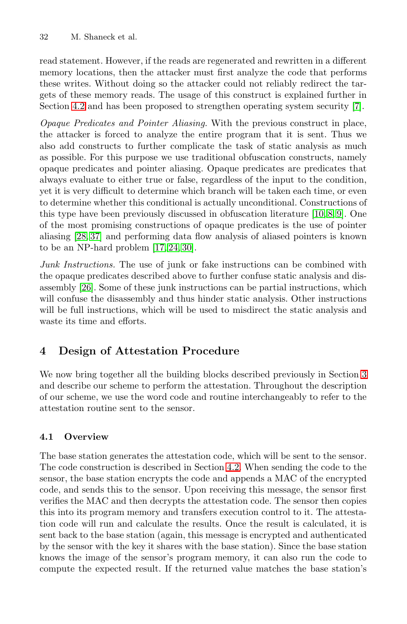read statement. However, if the reads are regenerated and rewritten in a different memory locations, then the attacker must first analyze the code that performs these writes. Without doing so the attacker could not reliably redirect the targets of these memory reads. The usage of this construct is explained further in Section 4.2 and has been proposed to strengthen operating system security [7].

Opaque Predicates and Pointer Aliasing. With the previous construct in place, the attacker is forced to analyze the entire p[rogr](#page-12-7)[a](#page-12-8)[m](#page-12-9) that it is sent. Thus we also add constructs to further complicate the task of static analysis as much as possible. For this purpose we use traditional obfuscation constructs, namely opaque [pred](#page-13-0)[ica](#page-13-1)[tes](#page-13-2) and pointer aliasing. Opaque predicates are predicates that always evaluate to either true or false, regardless of the input to the condition, yet it is very difficult to determine which branch will be taken each time, or even to determine whether this conditional is actually unconditional. Constructions of this type have been previously discussed in obfuscation literature [10,8, 9]. One of the most promising constructions of opaque predicates is the use of pointer aliasing [28, 37] and performing data flow analysis of aliased pointers is known to be an NP-hard problem [17, 24, 30].

<span id="page-5-0"></span>Junk Instructions. The use of junk or fake instructions can be combined with the opaque predicates described above to further confuse static analysis and disassembly [26]. Some of these junk instructions can be partial instructions, which will confuse the disassembly and thus hinder static analysi[s.](#page-4-0) Other instructions will be full instructions, which will be used to misdirect the static analysis and waste its time and efforts.

# **4 Design of Attestation Procedure**

We now bring together all the building blocks described previously in Section 3 and describe our scheme t[o pe](#page-6-0)rform the attestation. Throughout the description of our scheme, we use the word code and routine interchangeably to refer to the attestation routine sent to the sensor.

#### **4.1 Overview**

The base station generates the attestation code, which will be sent to the sensor. The code construction is described in Section 4.2. When sending the code to the sensor, the base station encrypts the code and appends a MAC of the encrypted code, and sends this to the sensor. Upon receiving this message, the sensor first verifies the MAC and then decrypts the attestation code. The sensor then copies this into its program memory and transfers execution control to it. The attestation code will run and calculate the results. Once the result is calculated, it is sent back to the base station (again, this message is encrypted and authenticated by the sensor with the key it shares with the base station). Since the base station knows the image of the sensor's program memory, it can also run the code to compute the expected result. If the returned value matches the base station's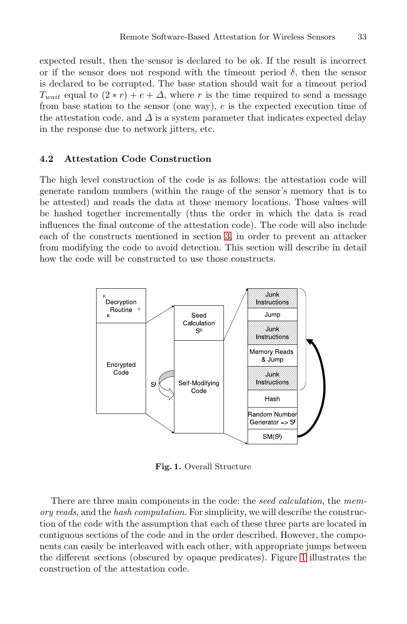<span id="page-6-0"></span>expected result, then the sensor is declared to be ok. If the result is incorrect or if the sensor does not respond with the timeout period  $\delta$ , then the sensor is declared to be corrupted. The base station should wait for a timeout period  $T_{wait}$  equal to  $(2 * r) + e + \Delta$ , where r is the time required to send a message from base station to the sensor (one way), e is the expected execution time of the attestation code, and  $\Delta$  is a system parameter that indicates expected delay in the response due to network jitters, etc.

## **4.2 Attestation Code [C](#page-4-0)onstruction**

The high level construction of the code is as follows: the attestation code will generate random numbers (within the range of the sensor's memory that is to be attested) and reads the data at those memory locations. Those values will be hashed together incrementally (thus the order in which the data is read influences the final outcome of the attestation code). The code will also include each of the constructs mentioned in section 3, in order to prevent an attacker from modifying the code to avoid detection. This section will describe in detail how the code will be constructed to use those constructs.



**Fig. 1.** Overall Structure

<span id="page-6-1"></span>There are three main components in the code: the seed calculation, the memory reads, and the hash computation. For simplicity, we will describe the construction of the code with the assumption that each of these three parts are located in contiguous sections of the code and in the order described. However, the components can easily be interleaved with each other, with appropriate jumps between the different sections (obscured by opaque predicates). Figure 1 illustrates the construction of the attestation code.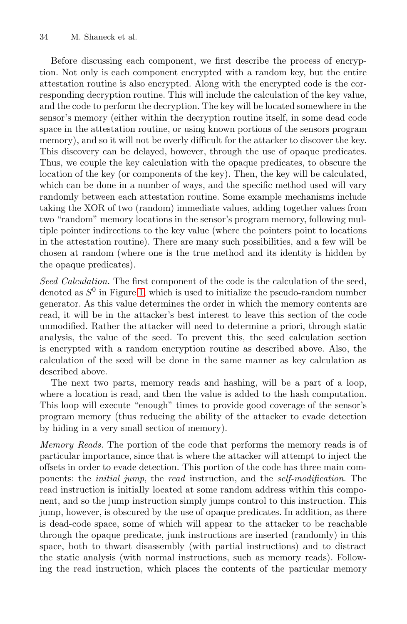Before discussing each component, we first describe the process of encryption. Not only is each component encrypted with a random key, but the entire attestation routine is also encrypted. Along with the encrypted code is the corresponding decryption routine. This will include the calculation of the key value, and the code to perform the decryption. The key will be located somewhere in the sensor's memory (either within the decryption routine itself, in some dead code space in the attestation routine, or using known portions of the sensors program memory), and so it will not be overly difficult for the attacker to discover the key. This discovery can be delayed, however, through the use of opaque predicates. Thus, we couple the key calculation with the opaque predicates, to obscure the location of the key (or components of the key). Then, the key will be calculated, which can be done in a number of ways, and the specific method used will vary randomly between each attestation routine. Some example mechanisms include taki[ng](#page-6-1) the XOR of two (random) immediate values, adding together values from two "random" memory locations in the sensor's program memory, following multiple pointer indirections to the key value (where the pointers point to locations in the attestation routine). There are many such possibilities, and a few will be chosen at random (where one is the true method and its identity is hidden by the opaque predicates).

Seed Calculation. The first component of the code is the calculation of the seed, denoted as  $S^0$  in Figure 1, which is used to initialize the pseudo-random number generator. As this value determines the order in which the memory contents are read, it will be in the attacker's best interest to leave this section of the code unmodified. Rather the attacker will need to determine a priori, through static analysis, the value of the seed. To prevent this, the seed calculation section is encrypted with a random encryption routine as described above. Also, the calculation of the seed will be done in the same manner as key calculation as described above.

The next two parts, memory reads and hashing, will be a part of a loop, where a location is read, and then the value is added to the hash computation. This loop will execute "enough" times to provide good coverage of the sensor's program memory (thus reducing the ability of the attacker to evade detection by hiding in a very small section of memory).

Memory Reads. The portion of the code that performs the memory reads is of particular importance, since that is where the attacker will attempt to inject the offsets in order to evade detection. This portion of the code has three main components: the initial jump, the read instruction, and the self-modification. The read instruction is initially located at some random address within this component, and so the jump instruction simply jumps control to this instruction. This jump, however, is obscured by the use of opaque predicates. In addition, as there is dead-code space, some of which will appear to the attacker to be reachable through the opaque predicate, junk instructions are inserted (randomly) in this space, both to thwart disassembly (with partial instructions) and to distract the static analysis (with normal instructions, such as memory reads). Following the read instruction, which places the contents of the particular memory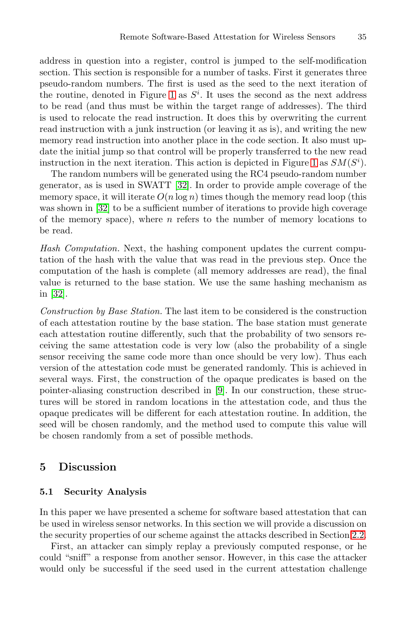address in question into a register, control is jumped to the self-modification section. This section is responsible for a number of tasks. First it generates three pseudo-random numbers. The first is used as [th](#page-6-1)e seed to the next iteration of the routine, denoted in Figure 1 as  $S<sup>i</sup>$ . It uses the second as the next address to be read (a[nd t](#page-14-0)hus must be within the target range of addresses). The third is used to relocate the read instruction. It does this by overwriting the current read instruction with a junk instruction (or leaving it as is), and writing the new memory read instruction into another place in the code section. It also must update the initial jump so that control will be properly transferred to the new read instruction in the next iteration. This action is depicted in Figure 1 as  $SM(S<sup>i</sup>)$ .

The random numbers will be generated using the RC4 pseudo-random number generator, as is used in SWATT [32]. In order to provide ample coverage of the memory space, it will iterate  $O(n \log n)$  times though the memory read loop (this was shown in [32] to be a sufficient number of iterations to provide high coverage of the memory space), where  $n$  refers to the number of memory locations to be read.

Hash Computation. Next, the hashing component updates the current computation of the hash with the value that was read in the previous step. Once the computation of the hash is complete (all memory addresses are read), the final value is returned to the base station. We use the same hashing mechanism as in [32].

<span id="page-8-0"></span>Construction by Base S[tat](#page-12-9)ion. The last item to be considered is the construction of each attestation routine by the base station. The base station must generate each attestation routine differently, such that the probability of two sensors receiving the same attestation code is very low (also the probability of a single sensor receiving the same code more than once should be very low). Thus each version of the attestation code must be generated randomly. This is achieved in several ways. First, the construction of the opaque predicates is based on the pointer-aliasing construction described in [9]. In our construction, these structures will be stored in random locations in the attestation code, and thus the opaque predicates will be different for each attestation routine. In addition, the seed will be chosen randomly, and the method used to compute this value will be chosen randomly from a set of possible methods.

## **5 Discussion**

#### **5.1 Security Analysis**

In this paper we have presented a scheme for software based attestation that can be used in wireless sensor networks. In this section we will provide a discussion on the security properties of our scheme against the attacks described in Section 2.2.

First, an attacker can simply replay a previously computed response, or he could "sniff" a response from another sensor. However, in this case the attacker would only be successful if the seed used in the current attestation challenge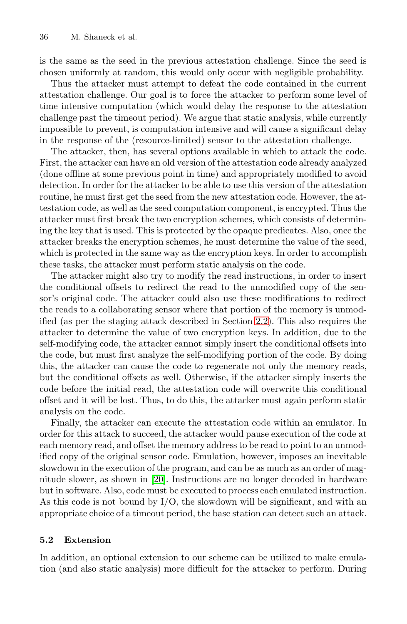is the same as the seed in the previous attestation challenge. Since the seed is chosen uniformly at random, this would only occur with negligible probability.

Thus the attacker must attempt to defeat the code contained in the current attestation challenge. Our goal is to force the attacker to perform some level of time intensive computation (which would delay the response to the attestation challenge past the timeout period). We argue that static analysis, while currently impossible to prevent, is computation intensive and will cause a significant delay in the response of the (resource-limited) sensor to the attestation challenge.

The attacker, then, has several options available in which to attack the code. First, the attacker can have an old version of the attestation code already analyzed (done offline at some previous point in time) and appropriately modified to avoid detection. In order for the attacker to be able to use this version of the attestation routine, he must first get the seed from the new attestation code. However, the attestation code, as well as the seed computation component, is encrypted. Thus the attacker must first break the two encryption schemes, which consists of determining the key that is used. This is protected by the opaque predicates. Also, once the attacker breaks the encryption sc[hem](#page-3-1)es, he must determine the value of the seed, which is protected in the same way as the encryption keys. In order to accomplish these tasks, the attacker must perform static analysis on the code.

The attacker might also try to modify the read instructions, in order to insert the conditional offsets to redirect the read to the unmodified copy of the sensor's original code. The attacker could also use these modifications to redirect the reads to a collaborating sensor where that portion of the memory is unmodified (as per the staging attack described in Section 2.2). This also requires the attacker to determine the value of two encryption keys. In addition, due to the self-modifying code, the attacker cannot simply insert the conditional offsets into the code, but must first analyze the self-modifying portion of the code. By doing this, the attacker can cause the code to regenerate not only the memory reads, but the conditional offsets as well. Otherwise, if the attacker simply inserts the code before the initial read, the attestation code will overwrite this conditional offset an[d it](#page-13-3) will be lost. Thus, to do this, the attacker must again perform static analysis on the code.

Finally, the attacker can execute the attestation code within an emulator. In order for this attack to succeed, the attacker would pause execution of the code at each memory read, and offset the memory address to be read to point to an unmodified copy of the original sensor code. Emulation, however, imposes an inevitable slowdown in the execution of the program, and can be as much as an order of magnitude slower, as shown in [20]. Instructions are no longer decoded in hardware but in software. Also, code must be executed to process each emulated instruction. As this code is not bound by I/O, the slowdown will be significant, and with an appropriate choice of a timeout period, the base station can detect such an attack.

### **5.2 Extension**

In addition, an optional extension to our scheme can be utilized to make emulation (and also static analysis) more difficult for the attacker to perform. During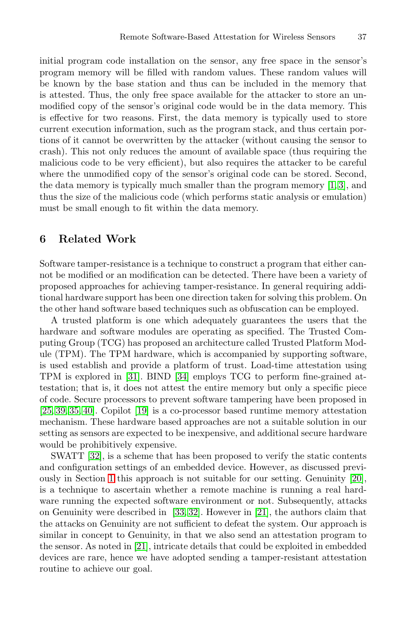<span id="page-10-0"></span>initial program code installation on the sensor, any free space in the sensor's program memory will be filled with random values. These random values will be known by the base station and thus can be included in the memory that is attested. Thus, the only free space available for the attacker to store an unmodified copy of the sensor's original code would [be](#page-12-10) [in](#page-12-5) the data memory. This is effective for two reasons. First, the data memory is typically used to store current execution information, such as the program stack, and thus certain portions of it cannot be overwritten by the attacker (without causing the sensor to crash). This not only reduces the amount of available space (thus requiring the malicious code to be very efficient), but also requires the attacker to be careful where the unmodified copy of the sensor's original code can be stored. Second, the data memory is typically much smaller than the program memory [1, 3], and thus the size of the malicious code (which performs static analysis or emulation) must be small enough to fit within the data memory.

## **6 Related Work**

Software tamper-resistance is a technique to construct a program that either cannot be modified or an modification can be detected. There have been a variety of proposed approaches for achieving tamper-resistance. In general requiring additi[onal](#page-13-4) hardwa[re su](#page-14-1)pport has been one direction taken for solving this problem. On the other hand software based techniques such as obfuscation can be employed.

A trusted platform is one which adequately guarantees the users that the har[dwa](#page-13-5)re and software modules are operating as specified. The Trusted Computing Group (TCG) has proposed an architecture called Trusted Platform Module (TPM). The TPM hardware, which is accompanied by supporting software, is used establish and provide a platform of trust. Load-time attestation using TPM is explored in [31]. BIND [34] employs TCG to perform fine-grained attestation; that is, it does not attest the entire memory but only a specific piece of code. Secure processors to prevent software tampering [ha](#page-13-3)ve been proposed in [25, 39, 35, 40]. Copilot [19] is a co-processor based runtime memory attestation mechanism. These hardware based approaches are not a suitable solution in our setting as sen[sors](#page-14-2) [are](#page-14-0) expected to [be i](#page-13-6)nexpensive, and additional secure hardware would be prohibitively expensive.

SWATT [32], is a scheme that has been proposed to verify the static contents and [con](#page-13-6)figuration settings of an embedded device. However, as discussed previously in Section 1 this approach is not suitable for our setting. Genuinity [20], is a technique to ascertain whether a remote machine is running a real hardware running the expected software environment or not. Subsequently, attacks on Genuinity were described in [33, 32]. However in [21], the authors claim that the attacks on Genuinity are not sufficient to defeat the system. Our approach is similar in concept to Genuinity, in that we also send an attestation program to the sensor. As noted in [21], intricate details that could be exploited in embedded devices are rare, hence we have adopted sending a tamper-resistant attestation routine to achieve our goal.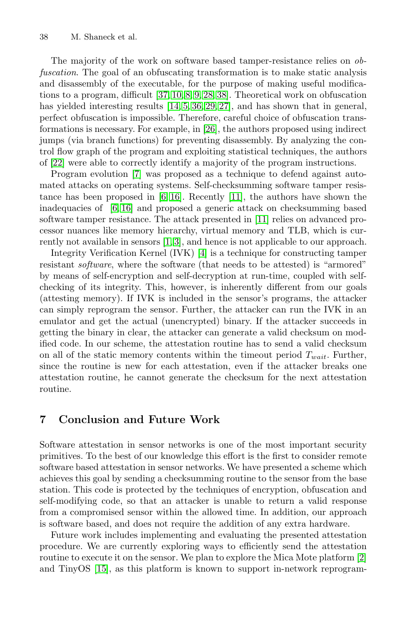The majority of the work on software based tamper-resistance relies on obfuscation. The goal of an obfuscating transformation is to make static analysis and disassembly of the executable, for the purpose of making useful modificatio[ns](#page-12-11) to a program, difficult [37,10,8, 9, 28, 38]. Theoretical work on obfuscation has yielded interesting results  $[14, 5, 36, 29, 27]$ , and has shown that in general, perfect ob[fu](#page-12-12)[scat](#page-13-7)ion is impo[ssib](#page-12-3)le. Therefore, careful choice of obfuscation trans[f](#page-12-12)[orm](#page-13-7)ations is necessary. For example, in [26], the authors proposed using indirect jumps (via branch functions) for [pre](#page-12-3)venting disassembly. By analyzing the control flow graph of the program and exploiting statistical techniques, the authors of [22] wer[e a](#page-12-10)[bl](#page-12-5)e to correctly identify a majority of the program instructions.

Program evoluti[on](#page-12-6) [7] was proposed as a technique to defend against automated attacks on operating systems. Self-checksumming software tamper resistance has been proposed in [6, 16]. Recently [11], the authors have shown the inadequacies of [6, 16] and proposed a generic attack on checksumming based software tamper resistance. The attack presented in [11] relies on advanced processor nuances like memory hierarchy, virtual memory and TLB, which is currently not available in sensors [1, 3], and hence is not applicable to our approach.

<span id="page-11-0"></span>Integrity Verification Kernel (IVK) [4] is a technique for constructing tamper resistant software, where the software (that needs to be attested) is "armored" by means of self-encryption and self-decryption at run-time, coupled with selfchecking of its integrity. This, however, is inherently different from our goals (attesting memory). If IVK is included in the sensor's programs, the attacker can simply reprogram the sensor. Further, the attacker can run the IVK in an emulator and get the actual (unencrypted) binary. If the attacker succeeds in getting the binary in clear, the attacker can generate a valid checksum on modified code. In our scheme, the attestation routine has to send a valid checksum on all of the static memory contents within the timeout period  $T_{wait}$ . Further, since the routine is new for each attestation, even if the attacker breaks one attestation routine, he cannot generate the checksum for the next attestation routine.

### **7 Conclusion and Future Work**

Software attestation in sensor networks is one of the most important security primitives. To the best of our knowledge this effort is the first to consider remote software based attestation in sensor networks. We have presented a scheme which achieves this goal by sending a checksumming routine to th[e s](#page-12-4)ensor from the base station. This code is protected by the techniques of encryption, obfuscation and self-modifying code, so that an attacker is unable to return a valid response from a compromised sensor within the allowed time. In addition, our approach is software based, and does not require the addition of any extra hardware.

Future work includes implementing and evaluating the presented attestation procedure. We are currently exploring ways to efficiently send the attestation routine to execute it on the sensor. We plan to explore the Mica Mote platform [2] and TinyOS [15], as this platform is known to support in-network reprogram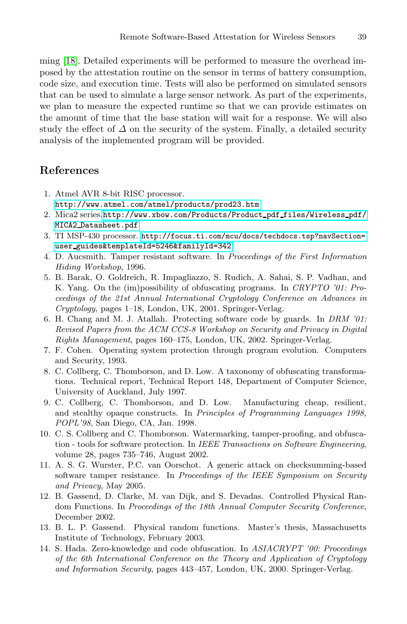<span id="page-12-10"></span><span id="page-12-0"></span>ming [18]. Detailed experiments will be performed to measure the overhead imposed by the attestation routine on the sensor in terms of battery consumption, code size, and execution time. Tests will also be performed on simulated sensors that can be used to simulate a large sensor network. As part of the experiments, we plan to measure the expected runtime so that we can provide estimates on [the amount of time that the base s](http://www.atmel.com/atmel/products/prod23.htm)tation will wait for a response. We will also study the effect of  $\Delta$  on the security of the system. Finally, a detailed security [analysis](http://www.xbow.com/Products/Product_pdf_files/Wireless_pdf/) [of](http://www.xbow.com/Products/Product_pdf_files/Wireless_pdf/) [the](http://www.xbow.com/Products/Product_pdf_files/Wireless_pdf/) [implemented](http://www.xbow.com/Products/Product_pdf_files/Wireless_pdf/) [program](http://www.xbow.com/Products/Product_pdf_files/Wireless_pdf/) [will](http://www.xbow.com/Products/Product_pdf_files/Wireless_pdf/) [be](http://www.xbow.com/Products/Product_pdf_files/Wireless_pdf/) [provided.](http://www.xbow.com/Products/Product_pdf_files/Wireless_pdf/)

#### <span id="page-12-6"></span><span id="page-12-5"></span><span id="page-12-4"></span>**[References](user_guides&templateId=5246&familyId=342)**

- 1. Atmel AVR 8-bit RISC processor. http://www.atmel.com/atmel/products/prod23.htm.
- 2. Mica2 series.http://www.xbow.com/Products/Product pdf files/Wireless pdf/ MICA2 Datasheet.pdf.
- <span id="page-12-12"></span>3. TI MSP-430 processor. http://focus.ti.com/mcu/docs/techdocs.tsp?navSection= user guides&templateId=5246&familyId=342.
- <span id="page-12-11"></span>4. D. Aucsmith. Tamper resistant software. In Proceedings of the First Information Hiding Workshop, 1996.
- <span id="page-12-8"></span>5. B. Barak, O. Goldreich, R. Impagliazzo, S. Rudich, A. Sahai, S. P. Vadhan, and K. Yang. On the (im)possibility of obfuscating programs. In CRYPTO '01: Proceedings of the 21st Annual International Cryptology Conference on Advances in Cryptology, pages 1–18, London, UK, 2001. Springer-Verlag.
- <span id="page-12-9"></span>6. H. Chang and M. J. Atallah. Protecting software code by guards. In DRM '01: Revised Papers from the ACM CCS-8 Workshop on Security and Privacy in Digital Rights Management, pages 160–175, London, UK, 2002. Springer-Verlag.
- <span id="page-12-7"></span>7. F. Cohen. Operating system protection through program evolution. Computers and Security, 1993.
- <span id="page-12-3"></span>8. C. Collberg, C. Thomborson, and D. Low. A taxonomy of obfuscating transformations. Technical report, Technical Report 148, Department of Computer Science, University of Auckland, July 1997.
- <span id="page-12-1"></span>9. C. Collberg, C. Thomborson, and D. Low. Manufacturing cheap, resilient, and stealthy opaque constructs. In Principles of Programming Languages 1998, POPL'98, San Diego, CA, Jan. 1998.
- <span id="page-12-2"></span>10. C. S. Collberg and C. Thomborson. Watermarking, tamper-proofing, and obfuscation - tools for software protection. In IEEE Transactions on Software Engineering, volume 28, pages 735–746, August 2002.
- 11. A. S. G. Wurster, P.C. van Oorschot. A generic attack on checksumming-based software tamper resistance. In Proceedings of the IEEE Symposium on Security and Privacy, May 2005.
- 12. B. Gassend, D. Clarke, M. van Dijk, and S. Devadas. Controlled Physical Random Functions. In Proceedings of the 18th Annual Computer Security Conference, December 2002.
- 13. B. L. P. Gassend. Physical random functions. Master's thesis, Massachusetts Institute of Technology, February 2003.
- 14. S. Hada. Zero-knowledge and code obfuscation. In ASIACRYPT '00: Proceedings of the 6th International Conference on the Theory and Application of Cryptology and Information Security, pages 443–457, London, UK, 2000. Springer-Verlag.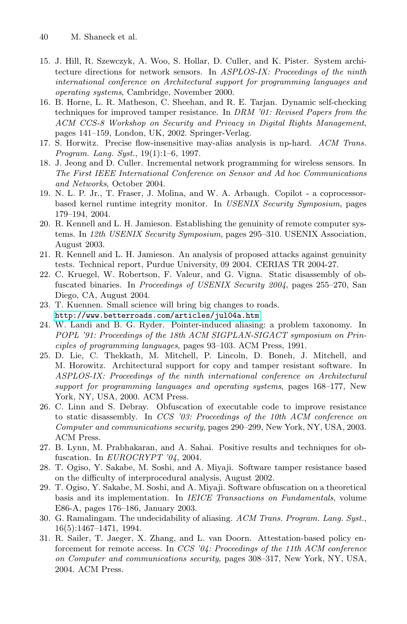- <span id="page-13-7"></span>40 M. Shaneck et al.
- <span id="page-13-0"></span>15. J. Hill, R. Szewczyk, A. Woo, S. Hollar, D. Culler, and K. Pister. System architecture directions for network sensors. In ASPLOS-IX: Proceedings of the ninth international conference on Architectural support for programming languages and operating systems, Cambridge, November 2000.
- <span id="page-13-5"></span>16. B. Horne, L. R. Matheson, C. Sheehan, and R. E. Tarjan. Dynamic self-checking techniques for improved tamper resistance. In DRM '01: Revised Papers from the ACM CCS-8 Workshop on Security and Privacy in Digital Rights Management, pages 141–159, London, UK, 2002. Springer-Verlag.
- <span id="page-13-3"></span>17. S. Horwitz. Precise flow-insensitive may-alias analysis is np-hard. ACM Trans. Program. Lang. Syst., 19(1):1–6, 1997.
- <span id="page-13-6"></span>18. J. Jeong and D. Culler. Incremental network programming for wireless sensors. In The First IEEE International Conference on Sensor and Ad hoc Communications and Networks, October 2004.
- 19. N. L. P. Jr., T. Fraser, J. Molina, and W. A. Arbaugh. Copilot a coprocessorbased kernel runtime integrity monitor. In USENIX Security Symposium, pages 179–194, 2004.
- <span id="page-13-1"></span>20. R. Kennell and L. H. Jamieson. Establishing the genuinity of remote computer sys-tems. In [12th USENIX Security Sy](http://www.betterroads.com/articles/jul04a.htm)mposium, pages 295–310. USENIX Association, August 2003.
- 21. R. Kennell and L. H. Jamieson. An analysis of proposed attacks against genuinity tests. Technical report, Purdue University, 09 2004. CERIAS TR 2004-27.
- 22. C. Kruegel, W. Robertson, F. Valeur, and G. Vigna. Static disassembly of obfuscated binaries. In Proceedings of USENIX Security 2004, pages 255–270, San Diego, CA, August 2004.
- 23. T. Kuennen. Small science will bring big changes to roads. http://www.betterroads.com/articles/jul04a.htm.
- 24. W. Landi and B. G. Ryder. Pointer-induced aliasing: a problem taxonomy. In POPL '91: Proceedings of the 18th ACM SIGPLAN-SIGACT symposium on Principles of programming languages, pages 93–103. ACM Press, 1991.
- 25. D. Lie, C. Thekkath, M. Mitchell, P. Lincoln, D. Boneh, J. Mitchell, and M. Horowitz. Architectural support for copy and tamper resistant software. In ASPLOS-IX: Proceedings of the ninth international conference on Architectural support for programming languages and operating systems, pages 168–177, New York, NY, USA, 2000. ACM Press.
- 26. C. Linn and S. Debray. Obfuscation of executable code to improve resistance to static disassembly. In CCS '03: Proceedings of the 10th ACM conference on Computer and communications security, pages 290–299, New York, NY, USA, 2003. ACM Press.
- <span id="page-13-4"></span><span id="page-13-2"></span>27. B. Lynn, M. Prabhakaran, and A. Sahai. Positive results and techniques for obfuscation. In EUROCRYPT '04, 2004.
- 28. T. Ogiso, Y. Sakabe, M. Soshi, and A. Miyaji. Software tamper resistance based on the difficulty of interprocedural analysis, August 2002.
- 29. T. Ogiso, Y. Sakabe, M. Soshi, and A. Miyaji. Software obfuscation on a theoretical basis and its implementation. In IEICE Transactions on Fundamentals, volume E86-A, pages 176–186, January 2003.
- 30. G. Ramalingam. The undecidability of aliasing. ACM Trans. Program. Lang. Syst., 16(5):1467–1471, 1994.
- 31. R. Sailer, T. Jaeger, X. Zhang, and L. van Doorn. Attestation-based policy enforcement for remote access. In CCS '04: Proceedings of the 11th ACM conference on Computer and communications security, pages 308–317, New York, NY, USA, 2004. ACM Press.